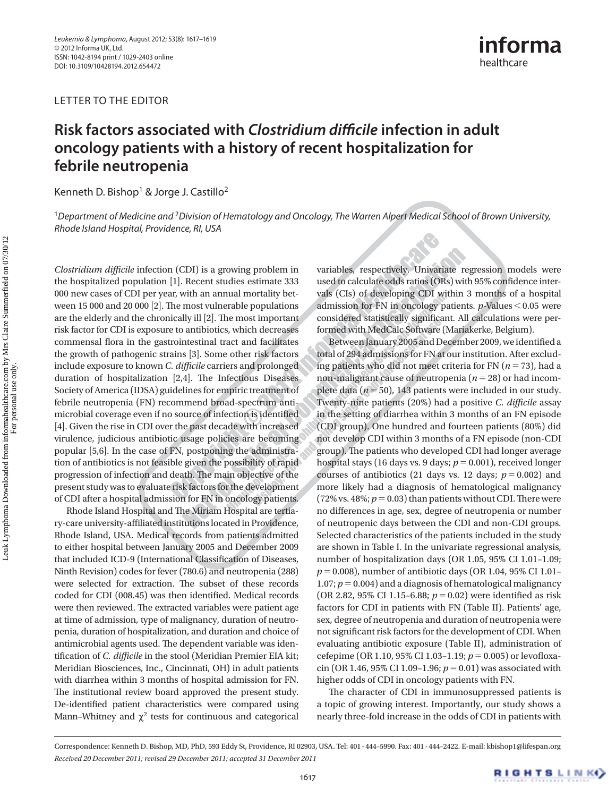LETTER TO THE EDITOR



## **Risk factors associated with** *Clostridium difficile* **infection in adult oncology patients with a history of recent hospitalization for febrile neutropenia**

Kenneth D. Bishop<sup>1</sup> & Jorge J. Castillo<sup>2</sup>

<sup>1</sup>Department of Medicine and <sup>2</sup>Division of Hematology and Oncology, The Warren Alpert Medical School of Brown University, Rhode Island Hospital, Providence, RI, USA

*Clostridium difficile* infection (CDI) is a growing problem in the hospitalized population [1]. Recent studies estimate 333 000 new cases of CDI per year, with an annual mortality between 15 000 and 20 000 [2]. The most vulnerable populations are the elderly and the chronically ill [2]. The most important risk factor for CDI is exposure to antibiotics, which decreases commensal flora in the gastrointestinal tract and facilitates the growth of pathogenic strains [3]. Some other risk factors include exposure to known *C. difficile* carriers and prolonged duration of hospitalization  $[2,4]$ . The Infectious Diseases Society of America (IDSA) guidelines for empiric treatment of febrile neutropenia (FN) recommend broad-spectrum antimicrobial coverage even if no source of infection is identified [4]. Given the rise in CDI over the past decade with increased virulence, judicious antibiotic usage policies are becoming popular [5,6]. In the case of FN, postponing the administration of antibiotics is not feasible given the possibility of rapid progression of infection and death. The main objective of the present study was to evaluate risk factors for the development of CDI after a hospital admission for FN in oncology patients.

Rhode Island Hospital and The Miriam Hospital are tertiary-care university-affiliated institutions located in Providence, Rhode Island, USA. Medical records from patients admitted to either hospital between January 2005 and December 2009 that included ICD-9 (International Classification of Diseases, Ninth Revision) codes for fever (780.6) and neutropenia (288) were selected for extraction. The subset of these records coded for CDI (008.45) was then identified. Medical records were then reviewed. The extracted variables were patient age at time of admission, type of malignancy, duration of neutropenia, duration of hospitalization, and duration and choice of antimicrobial agents used. The dependent variable was identification of *C. difficile* in the stool (Meridian Premier EIA kit; Meridian Biosciences, Inc., Cincinnati, OH) in adult patients with diarrhea within 3 months of hospital admission for FN. The institutional review board approved the present study. De-identified patient characteristics were compared using Mann-Whitney and  $\chi^2$  tests for continuous and categorical variables, respectively. Univariate regression models were used to calculate odds ratios (ORs) with 95% confidence intervals (CIs) of developing CDI within 3 months of a hospital admission for FN in oncology patients. *p*-Values < 0.05 were considered statistically significant. All calculations were performed with MedCalc Software (Mariakerke, Belgium).

Between January 2005 and December 2009, we identified a total of 294 admissions for FN at our institution. After excluding patients who did not meet criteria for FN ( $n = 73$ ), had a non-malignant cause of neutropenia ( $n = 28$ ) or had incomplete data ( $n = 50$ ), 143 patients were included in our study. Twenty-nine patients (20%) had a positive *C. difficile* assay in the setting of diarrhea within 3 months of an FN episode (CDI group). One hundred and fourteen patients (80%) did not develop CDI within 3 months of a FN episode (non-CDI group). The patients who developed CDI had longer average hospital stays (16 days vs. 9 days;  $p = 0.001$ ), received longer courses of antibiotics (21 days vs. 12 days;  $p = 0.002$ ) and more likely had a diagnosis of hematological malignancy (72% vs. 48%;  $p = 0.03$ ) than patients without CDI. There were no differences in age, sex, degree of neutropenia or number of neutropenic days between the CDI and non-CDI groups. Selected characteristics of the patients included in the study are shown in Table I. In the univariate regressional analysis, number of hospitalization days (OR 1.05, 95% CI 1.01-1.09;  $p = 0.008$ ), number of antibiotic days (OR 1.04, 95% CI 1.01-1.07;  $p = 0.004$ ) and a diagnosis of hematological malignancy (OR 2.82, 95% CI 1.15-6.88;  $p = 0.02$ ) were identified as risk factors for CDI in patients with FN (Table II). Patients' age, sex, degree of neutropenia and duration of neutropenia were not significant risk factors for the development of CDI. When evaluating antibiotic exposure (Table II), administration of cefepime (OR 1.10, 95% CI 1.03-1.19;  $p = 0.005$ ) or levofloxacin (OR 1.46, 95% CI 1.09-1.96;  $p = 0.01$ ) was associated with higher odds of CDI in oncology patients with FN.

The character of CDI in immunosuppressed patients is a topic of growing interest. Importantly, our study shows a nearly three-fold increase in the odds of CDI in patients with

 Correspondence: Kenneth D. Bishop, MD, PhD, 593 Eddy St, Providence, RI 02903, USA. Tel: 401 - 444 – 5990. Fax: 401 - 444 – 2422. E-mail: kbishop1@lifespan.org *Received 20 December 2011; revised 29 December 2011; accepted 31 December 2011*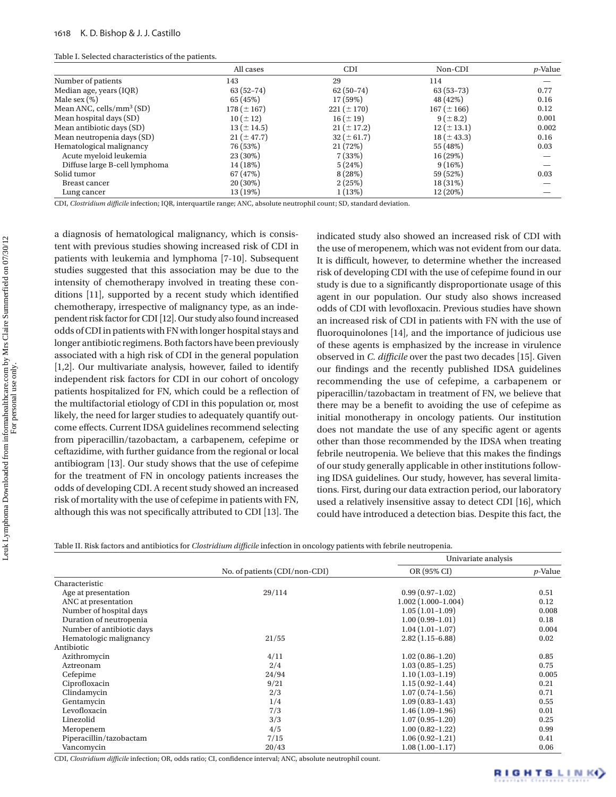|  | Table I. Selected characteristics of the patients. |  |
|--|----------------------------------------------------|--|
|--|----------------------------------------------------|--|

|                               | All cases       | <b>CDI</b>      | Non-CDI         | $p$ -Value |
|-------------------------------|-----------------|-----------------|-----------------|------------|
| Number of patients            | 143             | 29              | 114             |            |
| Median age, years (IQR)       | $63(52-74)$     | $62(50-74)$     | $63(53-73)$     | 0.77       |
| Male sex $(\%)$               | 65 (45%)        | 17(59%)         | 48 (42%)        | 0.16       |
| Mean ANC, cells/ $mm3$ (SD)   | $178 (\pm 167)$ | $221 (\pm 170)$ | $167 (\pm 166)$ | 0.12       |
| Mean hospital days (SD)       | $10 (\pm 12)$   | $16 (\pm 19)$   | $9 (\pm 8.2)$   | 0.001      |
| Mean antibiotic days (SD)     | $13 (\pm 14.5)$ | $21 (\pm 17.2)$ | $12 (\pm 13.1)$ | 0.002      |
| Mean neutropenia days (SD)    | $21 (\pm 47.7)$ | $32 (\pm 61.7)$ | $18 (\pm 43.3)$ | 0.16       |
| Hematological malignancy      | 76 (53%)        | 21(72%)         | 55 (48%)        | 0.03       |
| Acute myeloid leukemia        | 23 (30%)        | 7(33%)          | 16 (29%)        |            |
| Diffuse large B-cell lymphoma | 14 (18%)        | 5(24%)          | 9(16%)          |            |
| Solid tumor                   | 67 (47%)        | 8(28%)          | 59 (52%)        | 0.03       |
| Breast cancer                 | $20(30\%)$      | 2(25%)          | 18 (31%)        |            |
| Lung cancer                   | 13 (19%)        | 1(13%)          | 12 (20%)        |            |

CDI, *Clostridium difficile* infection; IQR, interquartile range; ANC, absolute neutrophil count; SD, standard deviation.

a diagnosis of hematological malignancy, which is consistent with previous studies showing increased risk of CDI in patients with leukemia and lymphoma [7-10]. Subsequent studies suggested that this association may be due to the intensity of chemotherapy involved in treating these conditions  $[11]$ , supported by a recent study which identified chemotherapy, irrespective of malignancy type, as an independent risk factor for CDI [12]. Our study also found increased odds of CDI in patients with FN with longer hospital stays and longer antibiotic regimens. Both factors have been previously associated with a high risk of CDI in the general population [1,2]. Our multivariate analysis, however, failed to identify independent risk factors for CDI in our cohort of oncology patients hospitalized for FN, which could be a reflection of the multifactorial etiology of CDI in this population or, most likely, the need for larger studies to adequately quantify outcome effects. Current IDSA guidelines recommend selecting from piperacillin/tazobactam, a carbapenem, cefepime or ceftazidime, with further guidance from the regional or local antibiogram [13]. Our study shows that the use of cefepime for the treatment of FN in oncology patients increases the odds of developing CDI. A recent study showed an increased risk of mortality with the use of cefepime in patients with FN, although this was not specifically attributed to CDI [13]. The

indicated study also showed an increased risk of CDI with the use of meropenem, which was not evident from our data. It is difficult, however, to determine whether the increased risk of developing CDI with the use of cefepime found in our study is due to a significantly disproportionate usage of this agent in our population. Our study also shows increased odds of CDI with levofloxacin. Previous studies have shown an increased risk of CDI in patients with FN with the use of fluoroquinolones [14], and the importance of judicious use of these agents is emphasized by the increase in virulence observed in *C. difficile* over the past two decades [15]. Given our findings and the recently published IDSA guidelines recommending the use of cefepime, a carbapenem or piperacillin/tazobactam in treatment of FN, we believe that there may be a benefit to avoiding the use of cefepime as initial monotherapy in oncology patients. Our institution does not mandate the use of any specific agent or agents other than those recommended by the IDSA when treating febrile neutropenia. We believe that this makes the findings of our study generally applicable in other institutions following IDSA guidelines. Our study, however, has several limitations. First, during our data extraction period, our laboratory used a relatively insensitive assay to detect CDI [16], which could have introduced a detection bias. Despite this fact, the

| Table II. Risk factors and antibiotics for Clostridium difficile infection in oncology patients with febrile neutropenia. |  |
|---------------------------------------------------------------------------------------------------------------------------|--|
|                                                                                                                           |  |

|                           | No. of patients (CDI/non-CDI) | Univariate analysis  |                 |
|---------------------------|-------------------------------|----------------------|-----------------|
|                           |                               | OR (95% CI)          | <i>p</i> -Value |
| Characteristic            |                               |                      |                 |
| Age at presentation       | 29/114                        | $0.99(0.97-1.02)$    | 0.51            |
| ANC at presentation       |                               | $1.002(1.000-1.004)$ | 0.12            |
| Number of hospital days   |                               | $1.05(1.01-1.09)$    | 0.008           |
| Duration of neutropenia   |                               | $1.00(0.99-1.01)$    | 0.18            |
| Number of antibiotic days |                               | $1.04(1.01-1.07)$    | 0.004           |
| Hematologic malignancy    | 21/55                         | $2.82(1.15-6.88)$    | 0.02            |
| Antibiotic                |                               |                      |                 |
| Azithromycin              | 4/11                          | $1.02(0.86-1.20)$    | 0.85            |
| Aztreonam                 | 2/4                           | $1.03(0.85-1.25)$    | 0.75            |
| Cefepime                  | 24/94                         | $1.10(1.03-1.19)$    | 0.005           |
| Ciprofloxacin             | 9/21                          | $1.15(0.92 - 1.44)$  | 0.21            |
| Clindamycin               | 2/3                           | $1.07(0.74-1.56)$    | 0.71            |
| Gentamycin                | 1/4                           | $1.09(0.83 - 1.43)$  | 0.55            |
| Levofloxacin              | 7/3                           | $1.46(1.09-1.96)$    | 0.01            |
| Linezolid                 | 3/3                           | $1.07(0.95-1.20)$    | 0.25            |
| Meropenem                 | 4/5                           | $1.00(0.82 - 1.22)$  | 0.99            |
| Piperacillin/tazobactam   | 7/15                          | $1.06(0.92 - 1.21)$  | 0.41            |
| Vancomycin                | 20/43                         | $1.08(1.00-1.17)$    | 0.06            |

CDI, *Clostridium difficile* infection; OR, odds ratio; CI, confidence interval; ANC, absolute neutrophil count.